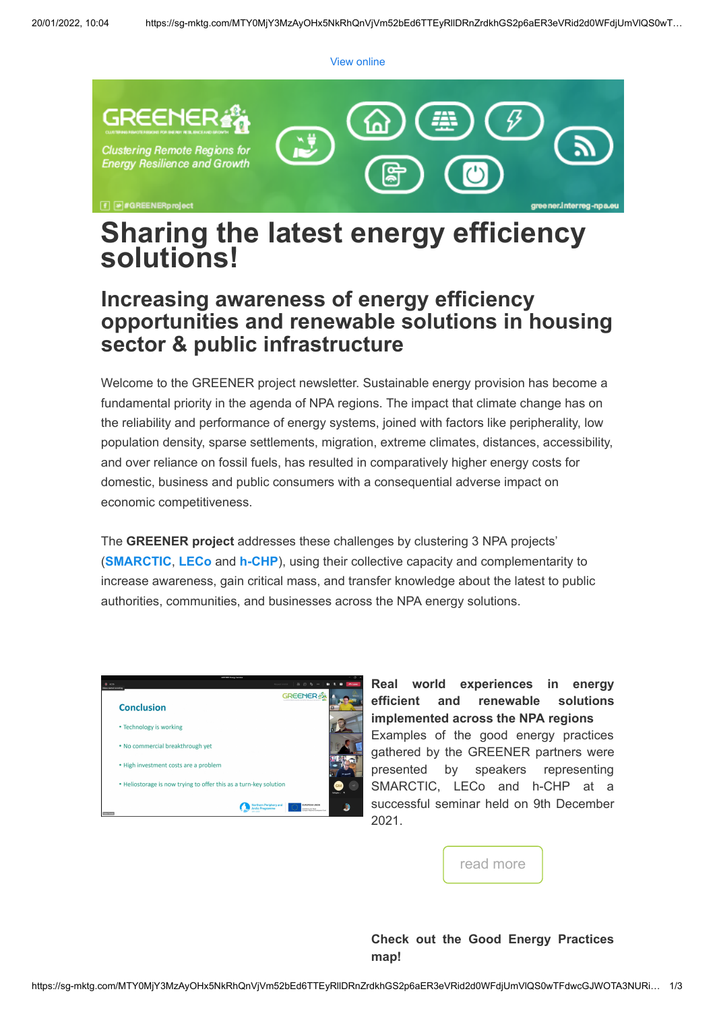[View online](https://sg-mktg.com/MTY0MjY3MzAyOHx5NkRhQnVjVm52bEd6TTEyRllDRnZrdkhGS2p6aER3eVRid2d0WFdjUmVlQS0wTFdwcGJWOTA3NURidG15emJqaEFFbnBZNElqbkw4cTdKMnlQUVhZUVY3Y0o5TnNYNm9RWTA2T0pPZVYzeTFKdUd6OXRrb1FqVWhGU1owY2h2QVloemN1enN6Nkp6RlVSYi1fMmxxc1dhckJpVWFEVWhDSHpBYWdQVlhGWkRaNDFNU0Z6T3o5SkhoTThuQkdrOVc4eG5jOXFnZUlOZ1BTSDY2dWV6bFFXUGhGMUFrTjZWVUZha0RWOV9uRXViV3c2QlNkMC1idXVtaDB2anM2ZzVBM2FGVXxJ6gKZAd-yDXhDY2rFLlkONsddu3lEjZxjatRRP6XR4w==)



# **Sharing the latest energy efficiency solutions!**

## **Increasing awareness of energy efficiency opportunities and renewable solutions in housing sector & public infrastructure**

Welcome to the GREENER project newsletter. Sustainable energy provision has become a fundamental priority in the agenda of NPA regions. The impact that climate change has on the reliability and performance of energy systems, joined with factors like peripherality, low population density, sparse settlements, migration, extreme climates, distances, accessibility, and over reliance on fossil fuels, has resulted in comparatively higher energy costs for domestic, business and public consumers with a consequential adverse impact on economic competitiveness.

The **GREENER project** addresses these challenges by clustering 3 NPA projects' (**[SMARCTIC](https://smarctic.interreg-npa.eu/)**, **[LECo](https://leco.interreg-npa.eu/)** and **[h-CHP](http://https//h-chp.interreg-npa.eu/)**), using their collective capacity and complementarity to increase awareness, gain critical mass, and transfer knowledge about the latest to public authorities, communities, and businesses across the NPA energy solutions.



**Real world experiences in energy efficient and renewable solutions implemented across the NPA regions** Examples of the good energy practices gathered by the GREENER partners were presented by speakers representing SMARCTIC, LECo and h-CHP at a successful seminar held on 9th December 2021.



#### **Check out the Good Energy Practices map!**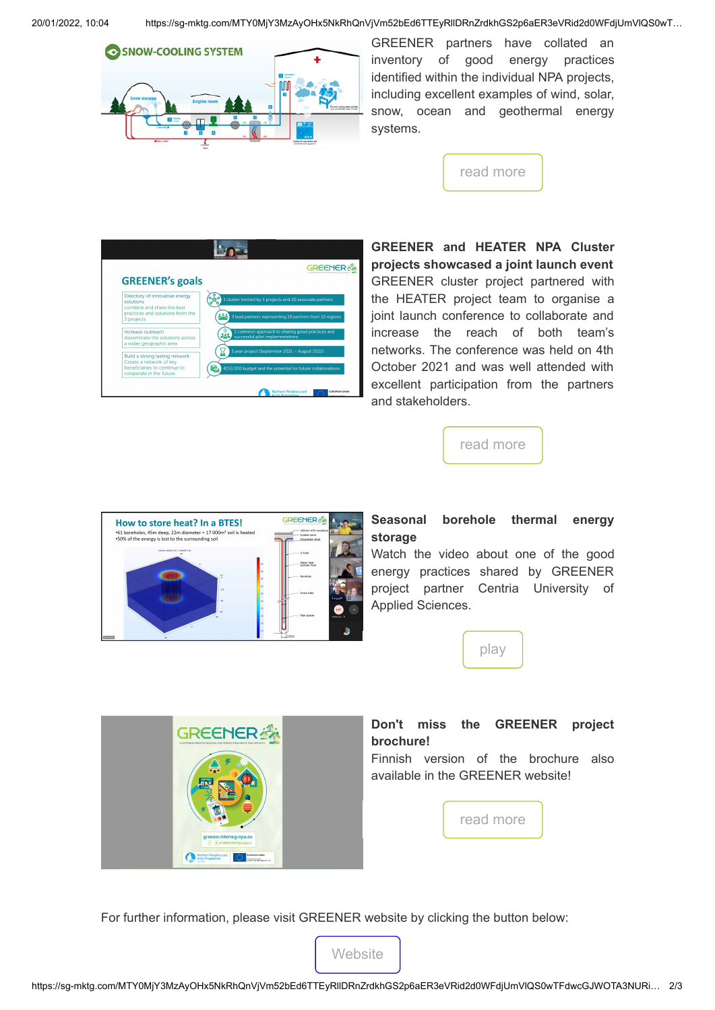

GREENER partners have collated an inventory of good energy practices identified within the individual NPA projects, including excellent examples of wind, solar, snow, ocean and geothermal energy systems.

[read more](https://greener.interreg-npa.eu/outputs-and-results/)



**GREENER and HEATER NPA Cluster projects showcased a joint launch event** GREENER cluster project partnered with the HEATER project team to organise a joint launch conference to collaborate and increase the reach of both team's networks. The conference was held on 4th October 2021 and was well attended with excellent participation from the partners and stakeholders.





#### **Seasonal borehole thermal energy storage**

Watch the video about one of the good energy practices shared by GREENER project partner Centria University of Applied Sciences.





### **Don't miss the GREENER project brochure!**

Finnish version of the brochure also available in the GREENER website!

[read more](https://greener.interreg-npa.eu/subsites/smarctic/GREENER_Brochure.pdf)

For further information, please visit GREENER website by clicking the button below: